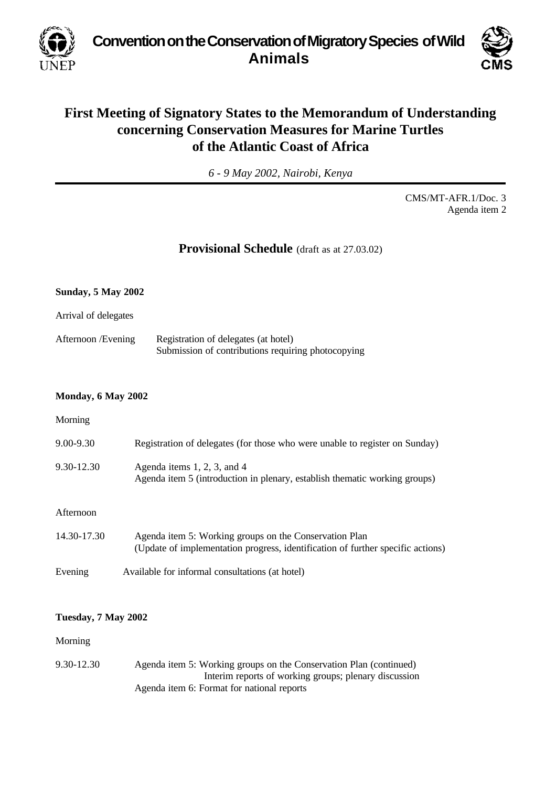**Convention on the Conservation of Migratory Species of Wild Animals**



## **First Meeting of Signatory States to the Memorandum of Understanding concerning Conservation Measures for Marine Turtles of the Atlantic Coast of Africa**

*6 - 9 May 2002, Nairobi, Kenya*

CMS/MT-AFR.1/Doc. 3 Agenda item 2

## **Provisional Schedule** (draft as at 27.03.02)

# **Sunday, 5 May 2002** Arrival of delegates Afternoon /Evening Registration of delegates (at hotel) Submission of contributions requiring photocopying

#### **Monday, 6 May 2002**

#### Morning

| $9.00 - 9.30$  | Registration of delegates (for those who were unable to register on Sunday)                                                               |
|----------------|-------------------------------------------------------------------------------------------------------------------------------------------|
| $9.30 - 12.30$ | Agenda items $1, 2, 3$ , and $4$<br>Agenda item 5 (introduction in plenary, establish thematic working groups)                            |
| Afternoon      |                                                                                                                                           |
| 14.30-17.30    | Agenda item 5: Working groups on the Conservation Plan<br>(Update of implementation progress, identification of further specific actions) |

Evening Available for informal consultations (at hotel)

#### **Tuesday, 7 May 2002**

#### Morning

9.30-12.30 Agenda item 5: Working groups on the Conservation Plan (continued) Interim reports of working groups; plenary discussion Agenda item 6: Format for national reports